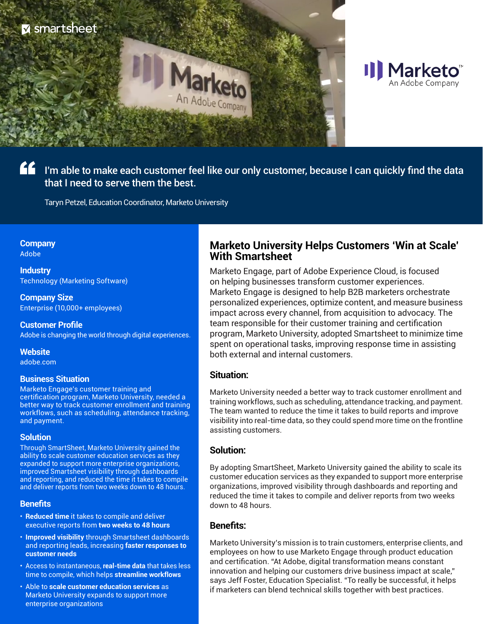



I'm able to make each customer feel like our only customer, because I can quickly find the data that I need to serve them the best.

Taryn Petzel, Education Coordinator, Marketo University

## **Company**

Adobe

**Industry** Technology (Marketing Software)

**Company Size** Enterprise (10,000+ employees)

**Customer Profile** Adobe is changing the world through digital experiences.

#### **Website**

[adobe.com](https://www.adobe.com/)

#### **Business Situation**

Marketo Engage's customer training and certification program, Marketo University, needed a better way to track customer enrollment and training workflows, such as scheduling, attendance tracking, and payment.

#### **Solution**

Through SmartSheet, Marketo University gained the ability to scale customer education services as they expanded to support more enterprise organizations, improved Smartsheet visibility through dashboards and reporting, and reduced the time it takes to compile and deliver reports from two weeks down to 48 hours.

#### **Benefits**

- **Reduced time** it takes to compile and deliver executive reports from **two weeks to 48 hours**
- **Improved visibility** through Smartsheet dashboards and reporting leads, increasing **faster responses to customer needs**
- Access to instantaneous, **real-time data** that takes less time to compile, which helps **streamline workflows**
- Able to **scale customer education services** as Marketo University expands to support more enterprise organizations

## **Marketo University Helps Customers 'Win at Scale' With Smartsheet**

Marketo Engage, part of Adobe Experience Cloud, is focused on helping businesses transform customer experiences. Marketo Engage is designed to help B2B marketers orchestrate personalized experiences, optimize content, and measure business impact across every channel, from acquisition to advocacy. The team responsible for their customer training and certification program, Marketo University, adopted Smartsheet to minimize time spent on operational tasks, improving response time in assisting both external and internal customers.

## **Situation:**

Marketo University needed a better way to track customer enrollment and training workflows, such as scheduling, attendance tracking, and payment. The team wanted to reduce the time it takes to build reports and improve visibility into real-time data, so they could spend more time on the frontline assisting customers.

## **Solution:**

By adopting SmartSheet, Marketo University gained the ability to scale its customer education services as they expanded to support more enterprise organizations, improved visibility through dashboards and reporting and reduced the time it takes to compile and deliver reports from two weeks down to 48 hours.

## **Benefits:**

Marketo University's mission is to train customers, enterprise clients, and employees on how to use Marketo Engage through product education and certification. "At Adobe, digital transformation means constant innovation and helping our customers drive business impact at scale," says Jeff Foster, Education Specialist. "To really be successful, it helps if marketers can blend technical skills together with best practices.